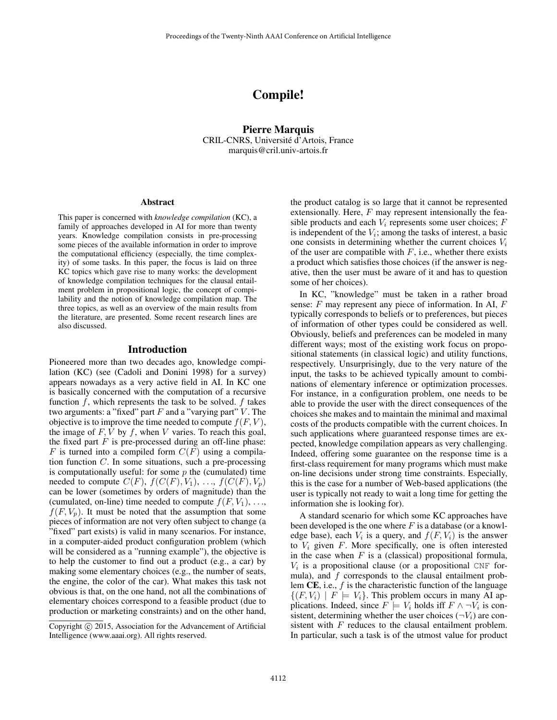# Compile!

Pierre Marquis CRIL-CNRS, Universite d'Artois, France ´ marquis@cril.univ-artois.fr

#### **Abstract**

This paper is concerned with *knowledge compilation* (KC), a family of approaches developed in AI for more than twenty years. Knowledge compilation consists in pre-processing some pieces of the available information in order to improve the computational efficiency (especially, the time complexity) of some tasks. In this paper, the focus is laid on three KC topics which gave rise to many works: the development of knowledge compilation techniques for the clausal entailment problem in propositional logic, the concept of compilability and the notion of knowledge compilation map. The three topics, as well as an overview of the main results from the literature, are presented. Some recent research lines are also discussed.

#### Introduction

Pioneered more than two decades ago, knowledge compilation (KC) (see (Cadoli and Donini 1998) for a survey) appears nowadays as a very active field in AI. In KC one is basically concerned with the computation of a recursive function  $f$ , which represents the task to be solved.  $f$  takes two arguments: a "fixed" part  $F$  and a "varying part"  $V$ . The objective is to improve the time needed to compute  $f(F, V)$ , the image of  $F, V$  by  $f$ , when  $V$  varies. To reach this goal, the fixed part  $F$  is pre-processed during an off-line phase: F is turned into a compiled form  $C(F)$  using a compilation function  $C$ . In some situations, such a pre-processing is computationally useful: for some  $p$  the (cumulated) time needed to compute  $C(F)$ ,  $f(C(F), V_1)$ , ...,  $f(C(F), V_p)$ can be lower (sometimes by orders of magnitude) than the (cumulated, on-line) time needed to compute  $f(F, V_1), \ldots$ ,  $f(F, V_p)$ . It must be noted that the assumption that some pieces of information are not very often subject to change (a "fixed" part exists) is valid in many scenarios. For instance, in a computer-aided product configuration problem (which will be considered as a "running example"), the objective is to help the customer to find out a product (e.g., a car) by making some elementary choices (e.g., the number of seats, the engine, the color of the car). What makes this task not obvious is that, on the one hand, not all the combinations of elementary choices correspond to a feasible product (due to production or marketing constraints) and on the other hand,

the product catalog is so large that it cannot be represented extensionally. Here,  $F$  may represent intensionally the feasible products and each  $V_i$  represents some user choices;  $F$ is independent of the  $V_i$ ; among the tasks of interest, a basic one consists in determining whether the current choices  $V_i$ of the user are compatible with  $F$ , i.e., whether there exists a product which satisfies those choices (if the answer is negative, then the user must be aware of it and has to question some of her choices).

In KC, "knowledge" must be taken in a rather broad sense:  $F$  may represent any piece of information. In AI,  $F$ typically corresponds to beliefs or to preferences, but pieces of information of other types could be considered as well. Obviously, beliefs and preferences can be modeled in many different ways; most of the existing work focus on propositional statements (in classical logic) and utility functions, respectively. Unsurprisingly, due to the very nature of the input, the tasks to be achieved typically amount to combinations of elementary inference or optimization processes. For instance, in a configuration problem, one needs to be able to provide the user with the direct consequences of the choices she makes and to maintain the minimal and maximal costs of the products compatible with the current choices. In such applications where guaranteed response times are expected, knowledge compilation appears as very challenging. Indeed, offering some guarantee on the response time is a first-class requirement for many programs which must make on-line decisions under strong time constraints. Especially, this is the case for a number of Web-based applications (the user is typically not ready to wait a long time for getting the information she is looking for).

A standard scenario for which some KC approaches have been developed is the one where  $F$  is a database (or a knowledge base), each  $V_i$  is a query, and  $f(F, V_i)$  is the answer to  $V_i$  given  $F$ . More specifically, one is often interested in the case when  $F$  is a (classical) propositional formula,  $V_i$  is a propositional clause (or a propositional CNF formula), and  $f$  corresponds to the clausal entailment problem  $CE$ , i.e.,  $f$  is the characteristic function of the language  $\{(F, V_i) \mid F \models V_i\}.$  This problem occurs in many AI applications. Indeed, since  $F \models V_i$  holds iff  $F \wedge \neg V_i$  is consistent, determining whether the user choices  $(\neg V_i)$  are consistent with F reduces to the clausal entailment problem. In particular, such a task is of the utmost value for product

Copyright © 2015, Association for the Advancement of Artificial Intelligence (www.aaai.org). All rights reserved.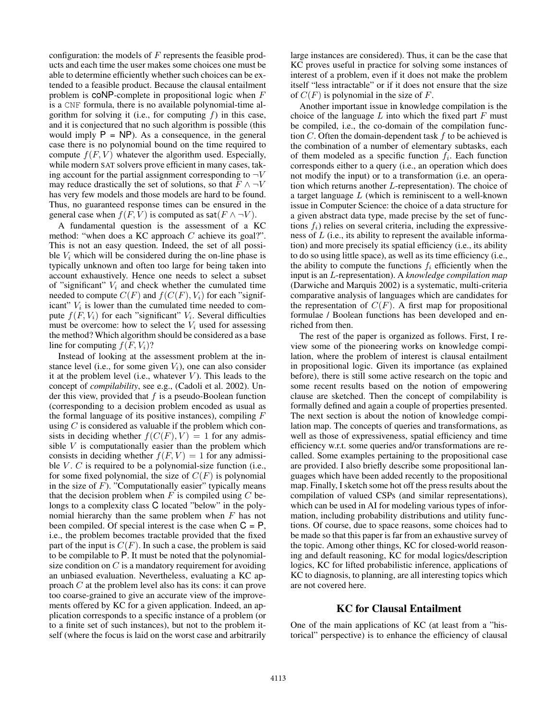configuration: the models of  $F$  represents the feasible products and each time the user makes some choices one must be able to determine efficiently whether such choices can be extended to a feasible product. Because the clausal entailment problem is  $coNP$ -complete in propositional logic when  $F$ is a CNF formula, there is no available polynomial-time algorithm for solving it (i.e., for computing  $f$ ) in this case, and it is conjectured that no such algorithm is possible (this would imply  $P = NP$ ). As a consequence, in the general case there is no polynomial bound on the time required to compute  $f(F, V)$  whatever the algorithm used. Especially, while modern SAT solvers prove efficient in many cases, taking account for the partial assignment corresponding to  $\neg V$ may reduce drastically the set of solutions, so that  $F \wedge \neg V$ has very few models and those models are hard to be found. Thus, no guaranteed response times can be ensured in the general case when  $f(F, \overline{V})$  is computed as sat $(F \wedge \neg V)$ .

A fundamental question is the assessment of a KC method: "when does a KC approach C achieve its goal?". This is not an easy question. Indeed, the set of all possible  $V_i$  which will be considered during the on-line phase is typically unknown and often too large for being taken into account exhaustively. Hence one needs to select a subset of "significant"  $V_i$  and check whether the cumulated time needed to compute  $C(F)$  and  $f(C(F), V_i)$  for each "significant"  $V_i$  is lower than the cumulated time needed to compute  $f(F, V_i)$  for each "significant"  $V_i$ . Several difficulties must be overcome: how to select the  $V_i$  used for assessing the method? Which algorithm should be considered as a base line for computing  $f(F, V_i)$ ?

Instead of looking at the assessment problem at the instance level (i.e., for some given  $V_i$ ), one can also consider it at the problem level (i.e., whatever  $V$ ). This leads to the concept of *compilability*, see e.g., (Cadoli et al. 2002). Under this view, provided that  $f$  is a pseudo-Boolean function (corresponding to a decision problem encoded as usual as the formal language of its positive instances), compiling  $F$ using  $C$  is considered as valuable if the problem which consists in deciding whether  $f(C(F), V) = 1$  for any admissible  $V$  is computationally easier than the problem which consists in deciding whether  $f(F, V) = 1$  for any admissible  $V$ .  $C$  is required to be a polynomial-size function (i.e., for some fixed polynomial, the size of  $C(F)$  is polynomial in the size of  $F$ ). "Computationally easier" typically means that the decision problem when  $F$  is compiled using  $C$  belongs to a complexity class C located "below" in the polynomial hierarchy than the same problem when  $F$  has not been compiled. Of special interest is the case when  $C = P$ , i.e., the problem becomes tractable provided that the fixed part of the input is  $C(F)$ . In such a case, the problem is said to be compilable to P. It must be noted that the polynomialsize condition on  $C$  is a mandatory requirement for avoiding an unbiased evaluation. Nevertheless, evaluating a KC approach C at the problem level also has its cons: it can prove too coarse-grained to give an accurate view of the improvements offered by KC for a given application. Indeed, an application corresponds to a specific instance of a problem (or to a finite set of such instances), but not to the problem itself (where the focus is laid on the worst case and arbitrarily

large instances are considered). Thus, it can be the case that KC proves useful in practice for solving some instances of interest of a problem, even if it does not make the problem itself "less intractable" or if it does not ensure that the size of  $C(F)$  is polynomial in the size of F.

Another important issue in knowledge compilation is the choice of the language  $L$  into which the fixed part  $F$  must be compiled, i.e., the co-domain of the compilation function  $C$ . Often the domain-dependent task  $f$  to be achieved is the combination of a number of elementary subtasks, each of them modeled as a specific function  $f_i$ . Each function corresponds either to a query (i.e., an operation which does not modify the input) or to a transformation (i.e. an operation which returns another L-representation). The choice of a target language L (which is reminiscent to a well-known issue in Computer Science: the choice of a data structure for a given abstract data type, made precise by the set of functions  $f_i$ ) relies on several criteria, including the expressiveness of L (i.e., its ability to represent the available information) and more precisely its spatial efficiency (i.e., its ability to do so using little space), as well as its time efficiency (i.e., the ability to compute the functions  $f_i$  efficiently when the input is an L-representation). A *knowledge compilation map* (Darwiche and Marquis 2002) is a systematic, multi-criteria comparative analysis of languages which are candidates for the representation of  $C(F)$ . A first map for propositional formulae / Boolean functions has been developed and enriched from then.

The rest of the paper is organized as follows. First, I review some of the pioneering works on knowledge compilation, where the problem of interest is clausal entailment in propositional logic. Given its importance (as explained before), there is still some active research on the topic and some recent results based on the notion of empowering clause are sketched. Then the concept of compilability is formally defined and again a couple of properties presented. The next section is about the notion of knowledge compilation map. The concepts of queries and transformations, as well as those of expressiveness, spatial efficiency and time efficiency w.r.t. some queries and/or transformations are recalled. Some examples pertaining to the propositional case are provided. I also briefly describe some propositional languages which have been added recently to the propositional map. Finally, I sketch some hot off the press results about the compilation of valued CSPs (and similar representations), which can be used in AI for modeling various types of information, including probability distributions and utility functions. Of course, due to space reasons, some choices had to be made so that this paper is far from an exhaustive survey of the topic. Among other things, KC for closed-world reasoning and default reasoning, KC for modal logics/description logics, KC for lifted probabilistic inference, applications of KC to diagnosis, to planning, are all interesting topics which are not covered here.

# KC for Clausal Entailment

One of the main applications of KC (at least from a "historical" perspective) is to enhance the efficiency of clausal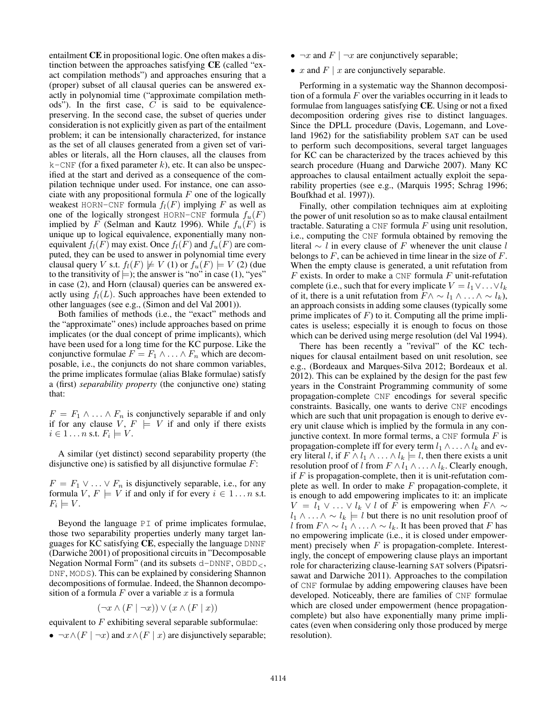entailment CE in propositional logic. One often makes a distinction between the approaches satisfying CE (called "exact compilation methods") and approaches ensuring that a (proper) subset of all clausal queries can be answered exactly in polynomial time ("approximate compilation methods"). In the first case,  $C$  is said to be equivalencepreserving. In the second case, the subset of queries under consideration is not explicitly given as part of the entailment problem; it can be intensionally characterized, for instance as the set of all clauses generated from a given set of variables or literals, all the Horn clauses, all the clauses from  $k$ –CNF (for a fixed parameter k), etc. It can also be unspecified at the start and derived as a consequence of the compilation technique under used. For instance, one can associate with any propositional formula  $F$  one of the logically weakest HORN-CNF formula  $f_l(F)$  implying F as well as one of the logically strongest HORN-CNF formula  $f_u(F)$ implied by F (Selman and Kautz 1996). While  $f_u(F)$  is unique up to logical equivalence, exponentially many nonequivalent  $f_l(F)$  may exist. Once  $f_l(F)$  and  $f_u(F)$  are computed, they can be used to answer in polynomial time every clausal query V s.t.  $f_l(F) \not\models V (1)$  or  $f_u(F) \models V (2)$  (due to the transitivity of  $\models$ ); the answer is "no" in case (1), "yes" in case (2), and Horn (clausal) queries can be answered exactly using  $f_l(L)$ . Such approaches have been extended to other languages (see e.g., (Simon and del Val 2001)).

Both families of methods (i.e., the "exact" methods and the "approximate" ones) include approaches based on prime implicates (or the dual concept of prime implicants), which have been used for a long time for the KC purpose. Like the conjunctive formulae  $F = F_1 \wedge \ldots \wedge F_n$  which are decomposable, i.e., the conjuncts do not share common variables, the prime implicates formulae (alias Blake formulae) satisfy a (first) *separability property* (the conjunctive one) stating that:

 $F = F_1 \wedge \ldots \wedge F_n$  is conjunctively separable if and only if for any clause  $V, F \models V$  if and only if there exists  $i \in 1 \dots n$  s.t.  $F_i \models V$ .

A similar (yet distinct) second separability property (the disjunctive one) is satisfied by all disjunctive formulae  $F$ :

 $F = F_1 \vee \ldots \vee F_n$  is disjunctively separable, i.e., for any formula  $V, F \models V$  if and only if for every  $i \in 1...n$  s.t.  $F_i \models V$ .

Beyond the language PI of prime implicates formulae, those two separability properties underly many target languages for KC satisfying CE, especially the language DNNF (Darwiche 2001) of propositional circuits in "Decomposable Negation Normal Form" (and its subsets  $d$ -DNNF,  $OBDD_{<}$ , DNF, MODS). This can be explained by considering Shannon decompositions of formulae. Indeed, the Shannon decomposition of a formula  $F$  over a variable  $x$  is a formula

$$
(\neg x \land (F \mid \neg x)) \lor (x \land (F \mid x))
$$

equivalent to  $F$  exhibiting several separable subformulae:

•  $\neg x \wedge (F \mid \neg x)$  and  $x \wedge (F \mid x)$  are disjunctively separable;

- $\neg x$  and  $F \mid \neg x$  are conjunctively separable;
- $x$  and  $F \mid x$  are conjunctively separable.

Performing in a systematic way the Shannon decomposition of a formula  $F$  over the variables occurring in it leads to formulae from languages satisfying CE. Using or not a fixed decomposition ordering gives rise to distinct languages. Since the DPLL procedure (Davis, Logemann, and Loveland 1962) for the satisfiability problem SAT can be used to perform such decompositions, several target languages for KC can be characterized by the traces achieved by this search procedure (Huang and Darwiche 2007). Many KC approaches to clausal entailment actually exploit the separability properties (see e.g., (Marquis 1995; Schrag 1996; Boufkhad et al. 1997)).

Finally, other compilation techniques aim at exploiting the power of unit resolution so as to make clausal entailment tractable. Saturating a CNF formula  $F$  using unit resolution, i.e., computing the CNF formula obtained by removing the literal  $\sim$  l in every clause of F whenever the unit clause l belongs to  $F$ , can be achieved in time linear in the size of  $F$ . When the empty clause is generated, a unit refutation from  $F$  exists. In order to make a CNF formula  $F$  unit-refutation complete (i.e., such that for every implicate  $V = l_1 \vee \ldots \vee l_k$ of it, there is a unit refutation from  $F \wedge \sim l_1 \wedge \ldots \wedge \sim l_k$ ), an approach consists in adding some clauses (typically some prime implicates of  $F$ ) to it. Computing all the prime implicates is useless; especially it is enough to focus on those which can be derived using merge resolution (del Val 1994).

There has been recently a "revival" of the KC techniques for clausal entailment based on unit resolution, see e.g., (Bordeaux and Marques-Silva 2012; Bordeaux et al. 2012). This can be explained by the design for the past few years in the Constraint Programming community of some propagation-complete CNF encodings for several specific constraints. Basically, one wants to derive CNF encodings which are such that unit propagation is enough to derive every unit clause which is implied by the formula in any conjunctive context. In more formal terms, a CNF formula  $F$  is propagation-complete iff for every term  $l_1 \wedge \ldots \wedge l_k$  and every literal l, if  $F \wedge l_1 \wedge \ldots \wedge l_k \models l$ , then there exists a unit resolution proof of l from  $F \wedge l_1 \wedge \ldots \wedge l_k$ . Clearly enough, if  $F$  is propagation-complete, then it is unit-refutation complete as well. In order to make  $F$  propagation-complete, it is enough to add empowering implicates to it: an implicate  $V = l_1 \vee \ldots \vee l_k \vee l$  of F is empowering when  $F \wedge \sim$  $l_1 \wedge \ldots \wedge \sim l_k \models l$  but there is no unit resolution proof of l from  $F \wedge \sim l_1 \wedge \ldots \wedge \sim l_k$ . It has been proved that F has no empowering implicate (i.e., it is closed under empowerment) precisely when  $F$  is propagation-complete. Interestingly, the concept of empowering clause plays an important role for characterizing clause-learning SAT solvers (Pipatsrisawat and Darwiche 2011). Approaches to the compilation of CNF formulae by adding empowering clauses have been developed. Noticeably, there are families of CNF formulae which are closed under empowerment (hence propagationcomplete) but also have exponentially many prime implicates (even when considering only those produced by merge resolution).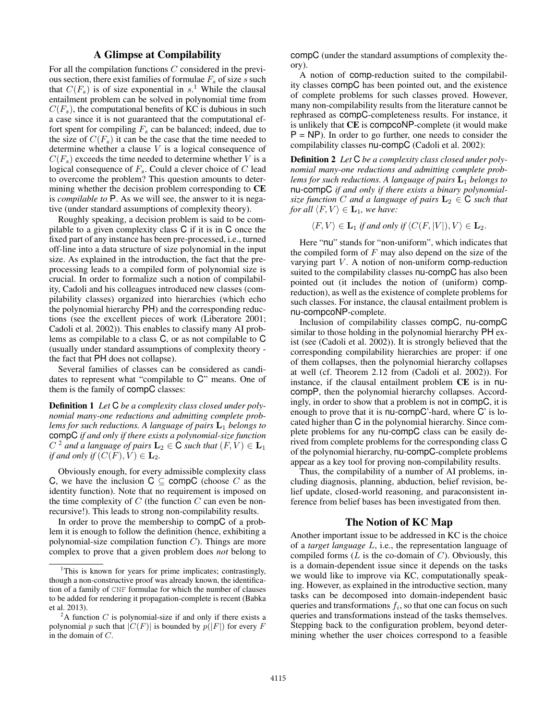# A Glimpse at Compilability

For all the compilation functions C considered in the previous section, there exist families of formulae  $F_s$  of size s such that  $C(F_s)$  is of size exponential in s.<sup>1</sup> While the clausal entailment problem can be solved in polynomial time from  $C(F_s)$ , the computational benefits of KC is dubious in such a case since it is not guaranteed that the computational effort spent for compiling  $F_s$  can be balanced; indeed, due to the size of  $C(F_s)$  it can be the case that the time needed to determine whether a clause  $V$  is a logical consequence of  $C(F_s)$  exceeds the time needed to determine whether V is a logical consequence of  $F_s$ . Could a clever choice of  $C$  lead to overcome the problem? This question amounts to determining whether the decision problem corresponding to CE is *compilable to* P. As we will see, the answer to it is negative (under standard assumptions of complexity theory).

Roughly speaking, a decision problem is said to be compilable to a given complexity class C if it is in C once the fixed part of any instance has been pre-processed, i.e., turned off-line into a data structure of size polynomial in the input size. As explained in the introduction, the fact that the preprocessing leads to a compiled form of polynomial size is crucial. In order to formalize such a notion of compilability, Cadoli and his colleagues introduced new classes (compilability classes) organized into hierarchies (which echo the polynomial hierarchy PH) and the corresponding reductions (see the excellent pieces of work (Liberatore 2001; Cadoli et al. 2002)). This enables to classify many AI problems as compilable to a class C, or as not compilable to C (usually under standard assumptions of complexity theory the fact that PH does not collapse).

Several families of classes can be considered as candidates to represent what "compilable to C" means. One of them is the family of compC classes:

Definition 1 *Let* C *be a complexity class closed under polynomial many-one reductions and admitting complete problems for such reductions. A language of pairs* L<sup>1</sup> *belongs to* compC *if and only if there exists a polynomial-size function*  $C^{2}$  and a language of pairs  $\mathbf{L}_{2} \in \mathbf{\overline{C}}$  such that  $(F, V) \in \mathbf{L}_{1}$ *if and only if*  $(C(F), V) \in L_2$ .

Obviously enough, for every admissible complexity class C, we have the inclusion  $C \subseteq \text{compC}$  (choose C as the identity function). Note that no requirement is imposed on the time complexity of  $C$  (the function  $C$  can even be nonrecursive!). This leads to strong non-compilability results.

In order to prove the membership to compC of a problem it is enough to follow the definition (hence, exhibiting a polynomial-size compilation function  $C$ ). Things are more complex to prove that a given problem does *not* belong to

compC (under the standard assumptions of complexity theory).

A notion of comp-reduction suited to the compilability classes compC has been pointed out, and the existence of complete problems for such classes proved. However, many non-compilability results from the literature cannot be rephrased as compC-completeness results. For instance, it is unlikely that CE is compcoNP-complete (it would make  $P = NP$ ). In order to go further, one needs to consider the compilability classes nu-compC (Cadoli et al. 2002):

Definition 2 *Let* C *be a complexity class closed under polynomial many-one reductions and admitting complete problems for such reductions. A language of pairs*  $\mathbf{L}_1$  *belongs to* nu-compC *if and only if there exists a binary polynomialsize function* C *and a language of pairs*  $L_2 \in \mathbb{C}$  *such that for all*  $\langle F, V \rangle \in \mathbf{L}_1$ *, we have:* 

 $\langle F, V \rangle \in \mathbf{L}_1$  *if and only if*  $\langle C(F, |V|), V \rangle \in \mathbf{L}_2$ .

Here "nu" stands for "non-uniform", which indicates that the compiled form of  $F$  may also depend on the size of the varying part  $V$ . A notion of non-uniform comp-reduction suited to the compilability classes nu-compC has also been pointed out (it includes the notion of (uniform) compreduction), as well as the existence of complete problems for such classes. For instance, the clausal entailment problem is nu-compcoNP-complete.

Inclusion of compilability classes compC, nu-compC similar to those holding in the polynomial hierarchy PH exist (see (Cadoli et al. 2002)). It is strongly believed that the corresponding compilability hierarchies are proper: if one of them collapses, then the polynomial hierarchy collapses at well (cf. Theorem 2.12 from (Cadoli et al. 2002)). For instance, if the clausal entailment problem CE is in nucompP, then the polynomial hierarchy collapses. Accordingly, in order to show that a problem is not in compC, it is enough to prove that it is nu-compC'-hard, where C' is located higher than C in the polynomial hierarchy. Since complete problems for any nu-compC class can be easily derived from complete problems for the corresponding class C of the polynomial hierarchy, nu-compC-complete problems appear as a key tool for proving non-compilability results.

Thus, the compilability of a number of AI problems, including diagnosis, planning, abduction, belief revision, belief update, closed-world reasoning, and paraconsistent inference from belief bases has been investigated from then.

### The Notion of KC Map

Another important issue to be addressed in KC is the choice of a *target language* L, i.e., the representation language of compiled forms  $(L$  is the co-domain of  $C$ ). Obviously, this is a domain-dependent issue since it depends on the tasks we would like to improve via KC, computationally speaking. However, as explained in the introductive section, many tasks can be decomposed into domain-independent basic queries and transformations  $f_i$ , so that one can focus on such queries and transformations instead of the tasks themselves. Stepping back to the configuration problem, beyond determining whether the user choices correspond to a feasible

<sup>&</sup>lt;sup>1</sup>This is known for years for prime implicates; contrastingly, though a non-constructive proof was already known, the identification of a family of CNF formulae for which the number of clauses to be added for rendering it propagation-complete is recent (Babka et al. 2013).

<sup>&</sup>lt;sup>2</sup>A function C is polynomial-size if and only if there exists a polynomial p such that  $|C(F)|$  is bounded by  $p(|F|)$  for every F in the domain of C.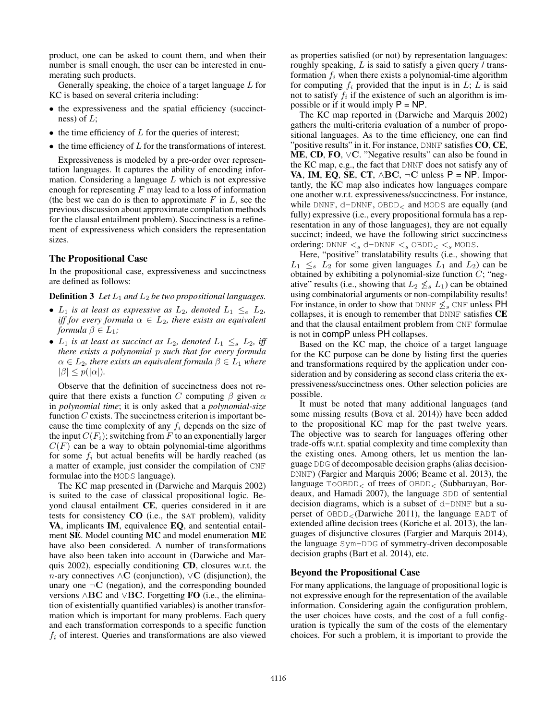product, one can be asked to count them, and when their number is small enough, the user can be interested in enumerating such products.

Generally speaking, the choice of a target language  $L$  for KC is based on several criteria including:

- the expressiveness and the spatial efficiency (succinctness) of  $L$ :
- $\bullet$  the time efficiency of  $L$  for the queries of interest;
- $\bullet$  the time efficiency of  $L$  for the transformations of interest.

Expressiveness is modeled by a pre-order over representation languages. It captures the ability of encoding information. Considering a language  $L$  which is not expressive enough for representing  $F$  may lead to a loss of information (the best we can do is then to approximate  $F$  in  $L$ , see the previous discussion about approximate compilation methods for the clausal entailment problem). Succinctness is a refinement of expressiveness which considers the representation sizes.

### The Propositional Case

In the propositional case, expressiveness and succinctness are defined as follows:

#### **Definition 3** Let  $L_1$  and  $L_2$  be two propositional languages.

- $L_1$  *is at least as expressive as*  $L_2$ *, denoted*  $L_1 \leq_e L_2$ , *iff for every formula*  $\alpha \in L_2$ *, there exists an equivalent formula*  $\beta \in L_1$ *;*
- $L_1$  *is at least as succinct as*  $L_2$ *, denoted*  $L_1 \leq_s L_2$ , *iff there exists a polynomial* p *such that for every formula*  $\alpha \in L_2$ , there exists an equivalent formula  $\beta \in L_1$  where  $|\beta| \leq p(|\alpha|)$ .

Observe that the definition of succinctness does not require that there exists a function C computing  $\beta$  given  $\alpha$ in *polynomial time*; it is only asked that a *polynomial-size* function  $C$  exists. The succinctness criterion is important because the time complexity of any  $f_i$  depends on the size of the input  $C(F_i)$ ; switching from F to an exponentially larger  $C(F)$  can be a way to obtain polynomial-time algorithms for some  $f_i$  but actual benefits will be hardly reached (as a matter of example, just consider the compilation of CNF formulae into the MODS language).

The KC map presented in (Darwiche and Marquis 2002) is suited to the case of classical propositional logic. Beyond clausal entailment CE, queries considered in it are tests for consistency CO (i.e., the SAT problem), validity VA, implicants IM, equivalence EQ, and sentential entailment SE. Model counting MC and model enumeration ME have also been considered. A number of transformations have also been taken into account in (Darwiche and Marquis 2002), especially conditioning CD, closures w.r.t. the n-ary connectives  $\wedge$ **C** (conjunction),  $\vee$ **C** (disjunction), the unary one  $\neg$ C (negation), and the corresponding bounded versions ∧BC and ∨BC. Forgetting FO (i.e., the elimination of existentially quantified variables) is another transformation which is important for many problems. Each query and each transformation corresponds to a specific function  $f_i$  of interest. Queries and transformations are also viewed as properties satisfied (or not) by representation languages: roughly speaking, L is said to satisfy a given query / transformation  $f_i$  when there exists a polynomial-time algorithm for computing  $f_i$  provided that the input is in  $L$ ;  $L$  is said not to satisfy  $f_i$  if the existence of such an algorithm is impossible or if it would imply  $P = NP$ .

The KC map reported in (Darwiche and Marquis 2002) gathers the multi-criteria evaluation of a number of propositional languages. As to the time efficiency, one can find "positive results" in it. For instance, DNNF satisfies  $CO$ ,  $CE$ , ME, CD, FO, ∨C. "Negative results" can also be found in the KC map, e.g., the fact that DNNF does not satisfy any of VA, IM, EQ, SE, CT,  $\wedge$ BC,  $\neg$ C unless P = NP. Importantly, the KC map also indicates how languages compare one another w.r.t. expressiveness/succinctness. For instance, while DNNF, d-DNNF, OBDD<sub><</sub> and MODS are equally (and fully) expressive (i.e., every propositional formula has a representation in any of those languages), they are not equally succinct; indeed, we have the following strict succinctness ordering:  $DNNF \leq_s d$ - $DNNF \leq_s OBDD < s MODS$ .

Here, "positive" translatability results (i.e., showing that  $L_1 \leq_s L_2$  for some given languages  $L_1$  and  $L_2$ ) can be obtained by exhibiting a polynomial-size function  $C$ ; "negative" results (i.e., showing that  $L_2 \nleq_s L_1$ ) can be obtained using combinatorial arguments or non-compilability results! For instance, in order to show that DNNF  $\leq_s$  CNF unless PH collapses, it is enough to remember that DNNF satisfies CE and that the clausal entailment problem from CNF formulae is not in compP unless PH collapses.

Based on the KC map, the choice of a target language for the KC purpose can be done by listing first the queries and transformations required by the application under consideration and by considering as second class criteria the expressiveness/succinctness ones. Other selection policies are possible.

It must be noted that many additional languages (and some missing results (Bova et al. 2014)) have been added to the propositional KC map for the past twelve years. The objective was to search for languages offering other trade-offs w.r.t. spatial complexity and time complexity than the existing ones. Among others, let us mention the language DDG of decomposable decision graphs (alias decision-DNNF) (Fargier and Marquis 2006; Beame et al. 2013), the language ToOBDD<sup>&</sup>lt; of trees of OBDD<sup>&</sup>lt; (Subbarayan, Bordeaux, and Hamadi 2007), the language SDD of sentential decision diagrams, which is a subset of d-DNNF but a superset of  $OBDD<sub>></sub>(Darwiche 2011)$ , the language EADT of extended affine decision trees (Koriche et al. 2013), the languages of disjunctive closures (Fargier and Marquis 2014), the language Sym-DDG of symmetry-driven decomposable decision graphs (Bart et al. 2014), etc.

### Beyond the Propositional Case

For many applications, the language of propositional logic is not expressive enough for the representation of the available information. Considering again the configuration problem, the user choices have costs, and the cost of a full configuration is typically the sum of the costs of the elementary choices. For such a problem, it is important to provide the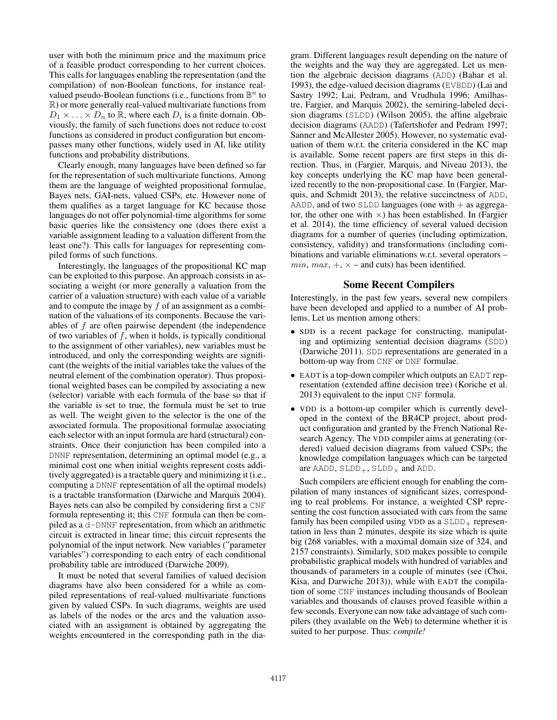user with both the minimum price and the maximum price of a feasible product corresponding to her current choices. This calls for languages enabling the representation (and the compilation) of non-Boolean functions, for instance realvalued pseudo-Boolean functions (i.e., functions from  $\mathbb{B}^n$  to R) or more generally real-valued multivariate functions from  $D_1 \times \ldots \times D_n$  to  $\mathbb{R}$ , where each  $D_i$  is a finite domain. Obviously, the family of such functions does not reduce to cost functions as considered in product configuration but encompasses many other functions, widely used in AI, like utility functions and probability distributions.

Clearly enough, many languages have been defined so far for the representation of such multivariate functions. Among them are the language of weighted propositional formulae, Bayes nets, GAI-nets, valued CSPs, etc. However none of them qualifies as a target language for KC because those languages do not offer polynomial-time algorithms for some basic queries like the consistency one (does there exist a variable assignment leading to a valuation different from the least one?). This calls for languages for representing compiled forms of such functions.

Interestingly, the languages of the propositional KC map can be exploited to this purpose. An approach consists in associating a weight (or more generally a valuation from the carrier of a valuation structure) with each value of a variable and to compute the image by  $f$  of an assignment as a combination of the valuations of its components. Because the variables of  $f$  are often pairwise dependent (the independence of two variables of  $f$ , when it holds, is typically conditional to the assignment of other variables), new variables must be introduced, and only the corresponding weights are significant (the weights of the initial variables take the values of the neutral element of the combination operator). Thus propositional weighted bases can be compiled by associating a new (selector) variable with each formula of the base so that if the variable is set to true, the formula must be set to true as well. The weight given to the selector is the one of the associated formula. The propositional formulae associating each selector with an input formula are hard (structural) constraints. Once their conjunction has been compiled into a DNNF representation, determining an optimal model (e.g., a minimal cost one when initial weights represent costs additively aggregated) is a tractable query and minimizing it (i.e., computing a DNNF representation of all the optimal models) is a tractable transformation (Darwiche and Marquis 2004). Bayes nets can also be compiled by considering first a CNF formula representing it; this CNF formula can then be compiled as a d-DNNF representation, from which an arithmetic circuit is extracted in linear time; this circuit represents the polynomial of the input network. New variables ("parameter variables") corresponding to each entry of each conditional probability table are introduced (Darwiche 2009).

It must be noted that several families of valued decision diagrams have also been considered for a while as compiled representations of real-valued multivariate functions given by valued CSPs. In such diagrams, weights are used as labels of the nodes or the arcs and the valuation associated with an assignment is obtained by aggregating the weights encountered in the corresponding path in the diagram. Different languages result depending on the nature of the weights and the way they are aggregated. Let us mention the algebraic decision diagrams (ADD) (Bahar et al. 1993), the edge-valued decision diagrams (EVBDD) (Lai and Sastry 1992; Lai, Pedram, and Vrudhula 1996; Amilhastre, Fargier, and Marquis 2002), the semiring-labeled decision diagrams (SLDD) (Wilson 2005), the affine algebraic decision diagrams (AADD) (Tafertshofer and Pedram 1997; Sanner and McAllester 2005). However, no systematic evaluation of them w.r.t. the criteria considered in the KC map is available. Some recent papers are first steps in this direction. Thus, in (Fargier, Marquis, and Niveau 2013), the key concepts underlying the KC map have been generalized recently to the non-propositional case. In (Fargier, Marquis, and Schmidt 2013), the relative succinctness of ADD, AADD, and of two SLDD languages (one with + as aggregator, the other one with  $\times$ ) has been established. In (Fargier et al. 2014), the time efficiency of several valued decision diagrams for a number of queries (including optimization, consistency, validity) and transformations (including combinations and variable eliminations w.r.t. several operators – min, max,  $+$ ,  $\times$  – and cuts) has been identified.

### Some Recent Compilers

Interestingly, in the past few years, several new compilers have been developed and applied to a number of AI problems. Let us mention among others:

- SDD is a recent package for constructing, manipulating and optimizing sentential decision diagrams (SDD) (Darwiche 2011). SDD representations are generated in a bottom-up way from CNF or DNF formulae.
- EADT is a top-down compiler which outputs an EADT representation (extended affine decision tree) (Koriche et al. 2013) equivalent to the input CNF formula.
- VDD is a bottom-up compiler which is currently developed in the context of the BR4CP project, about product configuration and granted by the French National Research Agency. The VDD compiler aims at generating (ordered) valued decision diagrams from valued CSPs; the knowledge compilation languages which can be targeted are AADD,  $SLDD_+$ ,  $SLDD_{\times}$  and ADD.

Such compilers are efficient enough for enabling the compilation of many instances of significant sizes, corresponding to real problems. For instance, a weighted CSP representing the cost function associated with cars from the same family has been compiled using VDD as a  $SLDD_+$  representation in less than 2 minutes, despite its size which is quite big (268 variables, with a maximal domain size of 324, and 2157 constraints). Similarly, SDD makes possible to compile probabilistic graphical models with hundred of variables and thousands of parameters in a couple of minutes (see (Choi, Kisa, and Darwiche 2013)), while with EADT the compilation of some CNF instances including thousands of Boolean variables and thousands of clauses proved feasible within a few seconds. Everyone can now take advantage of such compilers (they available on the Web) to determine whether it is suited to her purpose. Thus: *compile!*